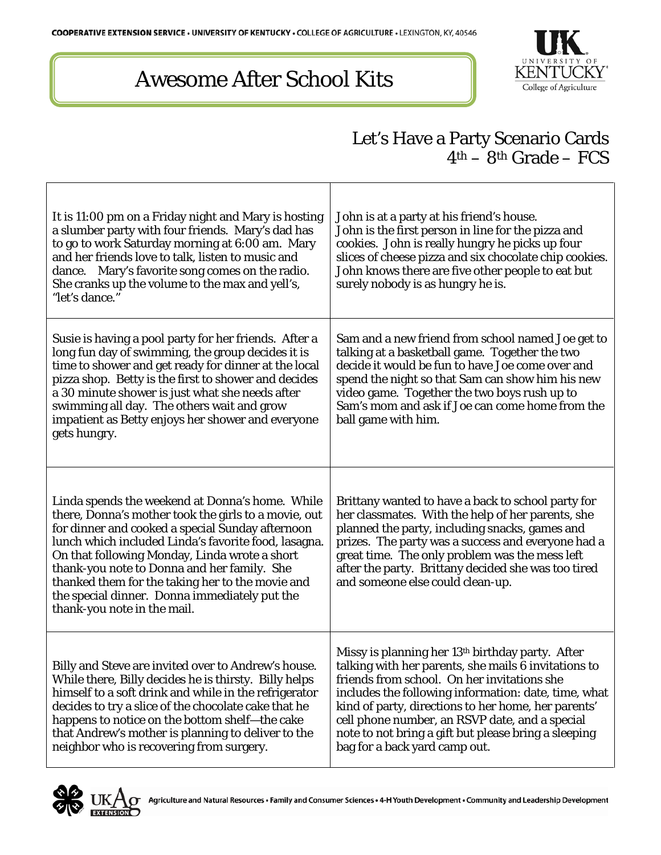## Awesome After School Kits



٦

## Let's Have a Party Scenario Cards  $4<sup>th</sup> - 8<sup>th</sup>$  Grade – FCS

| It is 11:00 pm on a Friday night and Mary is hosting<br>a slumber party with four friends. Mary's dad has<br>to go to work Saturday morning at 6:00 am. Mary<br>and her friends love to talk, listen to music and<br>dance. Mary's favorite song comes on the radio.<br>She cranks up the volume to the max and yell's,<br>"let's dance."                                                                                                               | John is at a party at his friend's house.<br>John is the first person in line for the pizza and<br>cookies. John is really hungry he picks up four<br>slices of cheese pizza and six chocolate chip cookies.<br>John knows there are five other people to eat but<br>surely nobody is as hungry he is.                                                                                                                        |
|---------------------------------------------------------------------------------------------------------------------------------------------------------------------------------------------------------------------------------------------------------------------------------------------------------------------------------------------------------------------------------------------------------------------------------------------------------|-------------------------------------------------------------------------------------------------------------------------------------------------------------------------------------------------------------------------------------------------------------------------------------------------------------------------------------------------------------------------------------------------------------------------------|
| Susie is having a pool party for her friends. After a<br>long fun day of swimming, the group decides it is<br>time to shower and get ready for dinner at the local<br>pizza shop. Betty is the first to shower and decides<br>a 30 minute shower is just what she needs after<br>swimming all day. The others wait and grow<br>impatient as Betty enjoys her shower and everyone<br>gets hungry.                                                        | Sam and a new friend from school named Joe get to<br>talking at a basketball game. Together the two<br>decide it would be fun to have Joe come over and<br>spend the night so that Sam can show him his new<br>video game. Together the two boys rush up to<br>Sam's mom and ask if Joe can come home from the<br>ball game with him.                                                                                         |
| Linda spends the weekend at Donna's home. While<br>there, Donna's mother took the girls to a movie, out<br>for dinner and cooked a special Sunday afternoon<br>lunch which included Linda's favorite food, lasagna.<br>On that following Monday, Linda wrote a short<br>thank-you note to Donna and her family. She<br>thanked them for the taking her to the movie and<br>the special dinner. Donna immediately put the<br>thank-you note in the mail. | Brittany wanted to have a back to school party for<br>her classmates. With the help of her parents, she<br>planned the party, including snacks, games and<br>prizes. The party was a success and everyone had a<br>great time. The only problem was the mess left<br>after the party. Brittany decided she was too tired<br>and someone else could clean-up.                                                                  |
| Billy and Steve are invited over to Andrew's house.<br>While there, Billy decides he is thirsty. Billy helps<br>himself to a soft drink and while in the refrigerator<br>decides to try a slice of the chocolate cake that he<br>happens to notice on the bottom shelf—the cake<br>that Andrew's mother is planning to deliver to the<br>neighbor who is recovering from surgery.                                                                       | Missy is planning her 13 <sup>th</sup> birthday party. After<br>talking with her parents, she mails 6 invitations to<br>friends from school. On her invitations she<br>includes the following information: date, time, what<br>kind of party, directions to her home, her parents'<br>cell phone number, an RSVP date, and a special<br>note to not bring a gift but please bring a sleeping<br>bag for a back yard camp out. |